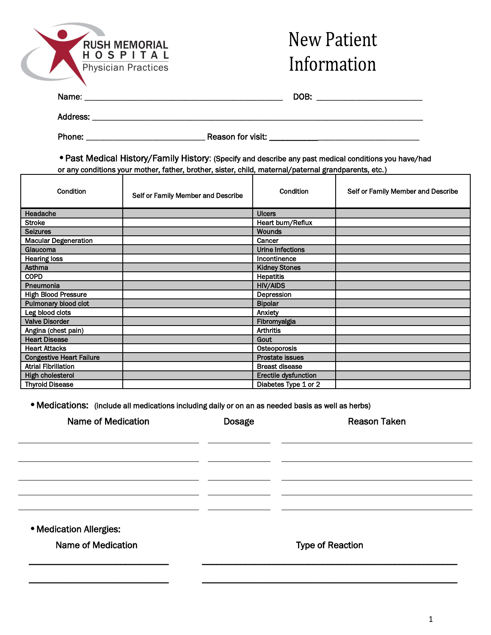

## **New Patient** Information

| Name: | DOR.<br>٠. |
|-------|------------|
|       |            |

Address: \_\_\_\_\_\_\_\_\_\_\_\_\_\_\_\_\_\_\_\_\_\_\_\_\_\_\_\_\_\_\_\_\_\_\_\_\_\_\_\_\_\_\_\_\_\_\_\_\_\_\_\_\_\_\_\_\_\_\_\_\_\_\_\_\_\_\_\_\_\_\_\_\_\_\_

  Phone: \_\_\_\_\_\_\_\_\_\_\_\_\_\_\_\_\_\_\_\_\_\_\_\_\_\_\_ Reason for visit: \_\_\_\_\_\_\_\_\_\_\_\_\_\_\_\_\_\_\_\_\_\_\_\_\_\_\_\_\_\_\_\_\_\_

•Past Medical History/Family History: (Specify and describe any past medical conditions you have/had or any conditions your mother, father, brother, sister, child, maternal/paternal grandparents, etc.)

| Condition                       | Self or Family Member and Describe | Condition              | Self or Family Member and Describe |
|---------------------------------|------------------------------------|------------------------|------------------------------------|
| Headache                        |                                    | <b>Ulcers</b>          |                                    |
| <b>Stroke</b>                   |                                    | Heart burn/Reflux      |                                    |
| <b>Seizures</b>                 |                                    | <b>Wounds</b>          |                                    |
| <b>Macular Degeneration</b>     |                                    | Cancer                 |                                    |
| Glaucoma                        |                                    | Urine Infections       |                                    |
| <b>Hearing loss</b>             |                                    | Incontinence           |                                    |
| Asthma                          |                                    | <b>Kidney Stones</b>   |                                    |
| <b>COPD</b>                     |                                    | <b>Hepatitis</b>       |                                    |
| Pneumonia                       |                                    | <b>HIV/AIDS</b>        |                                    |
| <b>High Blood Pressure</b>      |                                    | Depression             |                                    |
| Pulmonary blood clot            |                                    | <b>Bipolar</b>         |                                    |
| Leg blood clots                 |                                    | Anxiety                |                                    |
| <b>Valve Disorder</b>           |                                    | Fibromyalgia           |                                    |
| Angina (chest pain)             |                                    | <b>Arthritis</b>       |                                    |
| <b>Heart Disease</b>            |                                    | Gout                   |                                    |
| <b>Heart Attacks</b>            |                                    | Osteoporosis           |                                    |
| <b>Congestive Heart Failure</b> |                                    | <b>Prostate issues</b> |                                    |
| <b>Atrial Fibrillation</b>      |                                    | <b>Breast disease</b>  |                                    |
| High cholesterol                |                                    | Erectile dysfunction   |                                    |
| <b>Thyroid Disease</b>          |                                    | Diabetes Type 1 or 2   |                                    |

•Medications: (include all medications including daily or on an as needed basis as well as herbs)

| <b>Name of Medication</b> | <b>Dosage</b> | <b>Reason Taken</b>     |
|---------------------------|---------------|-------------------------|
|                           |               |                         |
|                           |               |                         |
|                           |               |                         |
|                           |               |                         |
|                           |               |                         |
| · Medication Allergies:   |               |                         |
| <b>Name of Medication</b> |               | <b>Type of Reaction</b> |
|                           |               |                         |

\_\_\_\_\_\_\_\_\_\_\_\_\_\_\_\_\_\_\_\_\_\_\_\_\_\_\_\_\_ \_\_\_\_\_\_\_\_\_\_\_\_\_\_\_\_\_\_\_\_\_\_\_\_\_\_\_\_\_\_\_\_\_\_\_\_\_\_\_\_\_\_\_\_\_\_\_\_\_\_\_\_\_